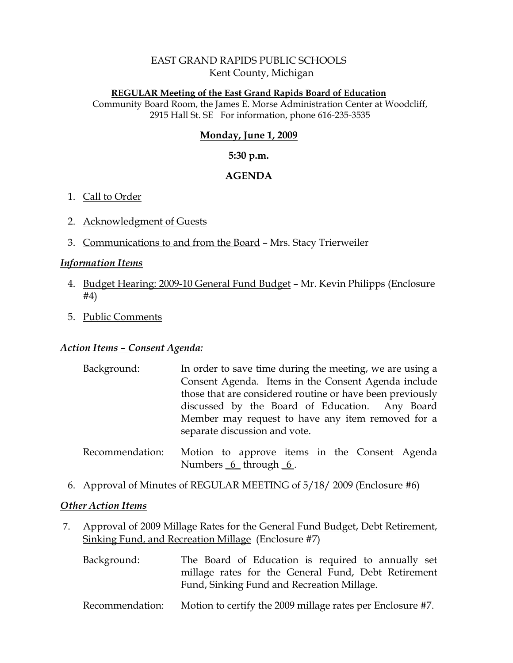# EAST GRAND RAPIDS PUBLIC SCHOOLS Kent County, Michigan

#### **REGULAR Meeting of the East Grand Rapids Board of Education**

Community Board Room, the James E. Morse Administration Center at Woodcliff, 2915 Hall St. SE For information, phone 616-235-3535

## **Monday, June 1, 2009**

### **5:30 p.m.**

## **AGENDA**

## 1. Call to Order

- 2. Acknowledgment of Guests
- 3. Communications to and from the Board Mrs. Stacy Trierweiler

### *Information Items*

- 4. Budget Hearing: 2009-10 General Fund Budget Mr. Kevin Philipps (Enclosure #4)
- 5. Public Comments

# *Action Items – Consent Agenda:*

- Background: In order to save time during the meeting, we are using a Consent Agenda. Items in the Consent Agenda include those that are considered routine or have been previously discussed by the Board of Education. Any Board Member may request to have any item removed for a separate discussion and vote.
- Recommendation: Motion to approve items in the Consent Agenda Numbers 6\_ through 6.
- 6. Approval of Minutes of REGULAR MEETING of 5/18/ 2009 (Enclosure #6)

### *Other Action Items*

- 7. Approval of 2009 Millage Rates for the General Fund Budget, Debt Retirement, Sinking Fund, and Recreation Millage (Enclosure #7)
	- Background: The Board of Education is required to annually set millage rates for the General Fund, Debt Retirement Fund, Sinking Fund and Recreation Millage.
	- Recommendation: Motion to certify the 2009 millage rates per Enclosure #7.